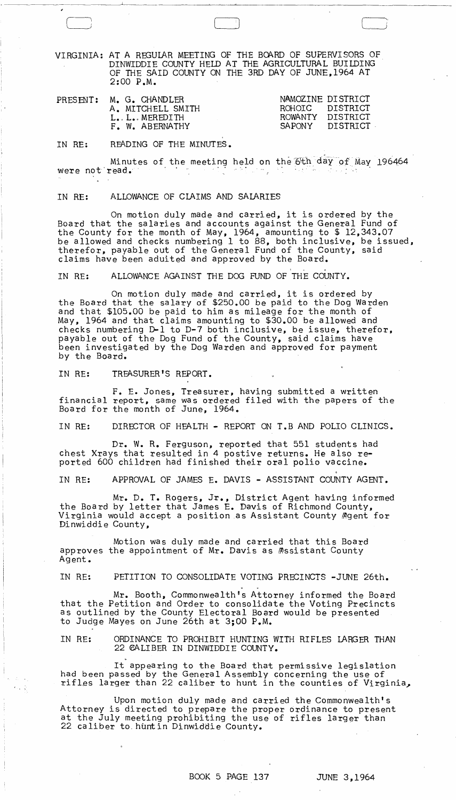VIRGINIA: AT A REGULAR MEETING OF THE BOARD OF SUPERVISORS OF DINWIDDIE COUNTY HELD AT THE AGRICULTURAL BUILDING OF THE SAID COUNTY ON THE 3RD DAY OF JUNE,1964 AT 2:00 P.M.

 $\Box$ 

|  | PRESENT: M. G. CHANDLER | NAMOZINE DISTRICT |
|--|-------------------------|-------------------|
|  | A. MITCHELL SMITH       | ROHOIC DISTRICT   |
|  | L. L. MEREDITH          | ROWANTY DISTRICT  |
|  | F. W. ABERNATHY         | SAPONY DISTRICT   |
|  |                         |                   |

IN RE: READING OF THE MINUTES.

Minutes of the meeting held on the 6th day of May 196464<br>read. were not read.

## IN RE: ALLOWANCE OF CLAIMS AND SALARIES

On motion duly made and carried, it is ordered by the Board that the salaries and accounts against the General Fund of the County for the month of May, 1964, amounting to \$ 12,343.07 be allowed and checks numbering 1 to B8, both inclusive, be issued, therefor, payable out of the General Fund of the County, said claims have been aduited and approved by the Board.<br>The Board. ALLOWANCE ACAINST TUE DOG FUEL COUR

IN RE: ALLOWANCE AGAINST THE DOG FUND OF THE COUNTY.

On motion duly made and carried, it is ordered by the Board that the salary of \$250.00 be paid to the Dog Warden and that \$105.00 be paid to him as mileage for the month of May, 1964 and that claims amounting to \$30.00 be allowed and checks numbering D-l to D-7 both inclusive, be issue, therefor, payable out of the Dog Fund of the County, said claims have been investigated by the Dog Warden and approved for payment by the Board.

IN RE: TREASURER'S REPORT.

F. E. Jones, Treasurer, having submitted a written financial report, same was ordered filed with the papers of the Board for the month of June, 1964.

IN RE: DIRECTOR OF HEALTH - REPORT ON T.B AND POLIO CLINICS.

Dr. W. R. Ferguson, reported that 551 students had chest Xrays that resulted in 4 postive returns. He also reported 600 children had finished their oral polio vaccine.

IN RE: APPROVAL OF JAMES E. DAVIS - ASSISTANT COUNTY AGENT.

Mr. D. **T.** Rogers, Jr., District Agent having informed the Board by letter that James E. Davis of Richmond County, Virginia would accept a position as Assistant County #gent for Dinwiddie County,

Motion was duly made and carried that this Board approves the appointment of Mr. Davis as Assistant County Agent.

IN RE: PETITION TO CONSOLIDATE VOTING PRECINCTS -JUNE 26th.

, " Mr. Booth, Commonwealth's Attorney informed the Board that the Petition and Order to consolidate the Voting Precincts as outlined by the County Electoral Board would be presented to Judge Mayes on June 26th at 3;00 P.M.

IN RE: ORDINANCE TO PROHIBIT HUNTING WITH RIFLES LARGER THAN 22 eALIBER IN DINWIDDIE COUNTY.

It appearing to the Board that permissive legislation<br>had been passed by the General Assembly concerning the use of nad been passed by the deneral Assembly concerning the use of  $r$  in the counties of Virginia,

Upon motion duly made and carried the Commonwealth's Attorney is directed to prepare the proper ordinance to present at the July meeting prohibiting the use of rifles larger than 22 caliber to huntin Dinwiddie County.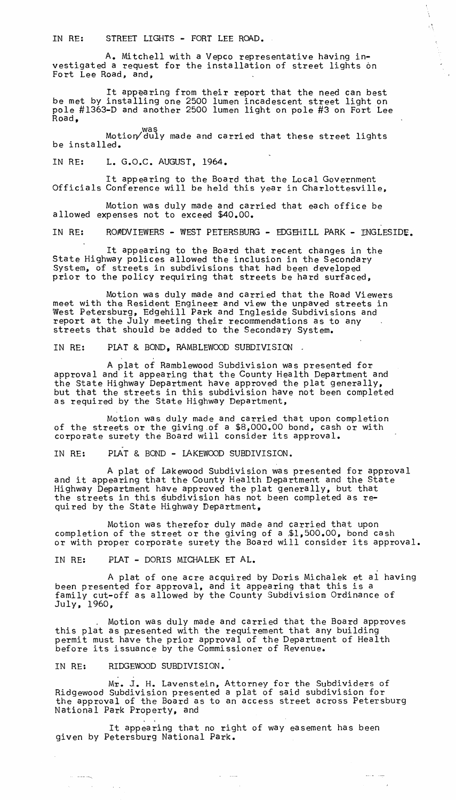IN RE: STREET LIGHTS - FORT LEE ROAD.

A. Mitchell with a Vepco representative having investigated a request for the installation of street lights on Fort Lee Road, and,

It appearing from their report that the need can best be met by installing one 2500 lumen incadescent street light on pole #1363-D and another 2500 lumen light on pole #3 on Fort Lee Road,

 $\frac{1}{\sqrt{2}}$ 

was<br>Motion/duly made and carried that these street lights<br>be installed.

IN RE: L. G.O.C. AUGUST, 1964.

It appearing to the Board that the Local Government Officials Conference will be held this year in Charlottesville,

Motion was duly made and carried that each office be allowed expenses not to exceed \$40.00.

IN RE: ROADVIEWERS - WEST PETERSBURG - EDGEHILL PARK - INGLESIDE.

It appearing to the Board that recent changes in the State Highway polices allowed the inclusion in the Secondary System, of streets in subdivisions that had been developed prior to the policy requiring that streets be hard surfaced,

Motion was duly made and carried that the Road Viewers meet with the Resident Engineer and view the unpaved streets in West Petersburg, Edgehill Park and Ingleside Subdivisions and report at the July meeting their recommendations as to any streets that should be added to the Secondary System.

IN RE: PLAT & BOND, RAMBLEWOOD SUBDIVISION.

A plat of Ramblewood Subdivision was presented for approval and it appearing that the County Health Department and the State Highway Department have approved the plat generally, but that the streets in this subdivision have not been completed as required by the State Highway Department,

Motion was duly made and carried that upon completion of the streets or the giving of a \$8,000.00 bond, cash or with corporate surety the Board will consider its approval.<br>IN RE: PLAT & BOND - LAKEWOOD SUBDIVISION.

A plat of Lakewood Subdivision was presented for approval and it appearing that the County Health Department and the State Highway Department have approved the plat generally, but that the streets in this subdivision has not been completed as required by the State Highway Department,

Motion was therefor duly made and carried that upon completion of the street or the giving of a \$1,500.00, bond cash or with proper corporate surety the Board will consider its approval.

IN RE: PLAT - DORIS MICHALEK ET AL.

A plat of one acre acquired by Doris Michalek et al having been presented for approval, and it appearing that this is a family cut-off as allowed by the County Subdivisiom Ordinance of July, 1960,

, Motion was duly made and carried that the Board approves this plat as presented with the requirement that any building permit must have the prior approval of the Department of Health before its issuance by the Commissioner of Revenue.

IN RE: RIDGEWOOD SUBDIVISION.

 $\sim$  and  $\omega_{\rm N}$ 

 $\label{eq:1} \mathcal{H}^{\text{max}}_{\text{max}} = \mathcal{H}^{\text{max}}_{\text{max}} = \mathcal{H}^{\text{max}}_{\text{max}}$ 

Mr. 1. H. Lavenstein, Attorney for the Subdividers of Ridgewood Subdivision presented a plat of said subdivision for the approval of the Board as to an access street across Petersburg National Park Property, and

It appearing that no right of way easement has been given by Petersburg National Park.

 $\Delta_{\rm{max}}$  , and  $\Delta_{\rm{max}}$ 

 $\sim$   $\sim$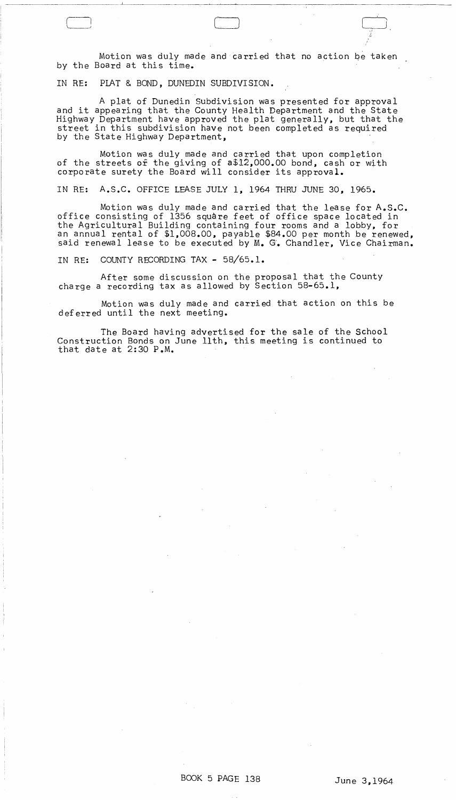Motion was duly made and carried that no action *qe* taken by the Board at this time.

 $\bigcup_{\gamma\in\mathbb{Z}}$ 

/,-

IN RE: PLAT & BOND, DUNEDIN SUBDIVISION.

A plat of Dunedin Subdivision was presented for approval and it appearing that the County Health Department and the State Highway Department have approved the plat generally, but that the street in this subdivision have not been completed as required<br>by the State Highway Department,

Motion was duly made and carried that upon completion of the streets *ox* the giving of a\$12,000.00 bond, cash or with corporate surety the Board will consider its approval.

IN RE: A.S.C. OFFICE LEASE JULY **1,** 1964 THRU JUNE 30, 1965.

Motion was duly made and carried that the lease for A.S.C. office consisting of 1356 square feet of office space located in the Agricultural Building containing four rooms and a lobby. for an annual rental of \$1,008.00, payable \$84.00 per month be renewed, said renewal lease to be executed by M. G. Chandler, Vice Chairman.

IN RE: COUNTY RECORDING TAX - 58/65.1.

After some discussion on the proposal that the County charge a recording tax as allowed by Section 58-65.1,

Motion was duly made and carried that action on this be deferred until the next meeting.

The Board having advertised for the sale of the School Construction Bonds on June 11th, this meeting is continued to that date at 2:30 P.M.